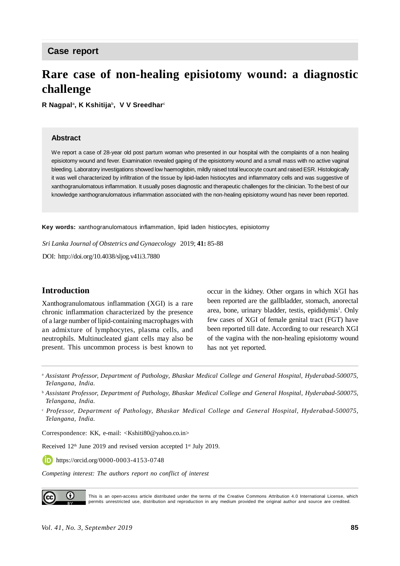# **Rare case of non-healing episiotomy wound: a diagnostic challenge**

**R Nagpal**<sup>a</sup> **, K Kshitija**<sup>b</sup> **, V V Sreedhar**<sup>c</sup>

#### **Abstract**

We report a case of 28-year old post partum woman who presented in our hospital with the complaints of a non healing episiotomy wound and fever. Examination revealed gaping of the episiotomy wound and a small mass with no active vaginal bleeding. Laboratory investigations showed low haemoglobin, mildly raised total leucocyte count and raised ESR. Histologically it was well characterized by infiltration of the tissue by lipid-laden histiocytes and inflammatory cells and was suggestive of xanthogranulomatous inflammation. It usually poses diagnostic and therapeutic challenges for the clinician. To the best of our knowledge xanthogranulomatous inflammation associated with the non-healing episiotomy wound has never been reported.

**Key words:** xanthogranulomatous inflammation, lipid laden histiocytes, episiotomy

*Sri Lanka Journal of Obstetrics and Gynaecology* 2019; **41:** 85-88

DOI: <http://doi.org/10.4038/sljog.v41i3.7880>

## **Introduction**

Xanthogranulomatous inflammation (XGI) is a rare chronic inflammation characterized by the presence of a large number of lipid-containing macrophages with an admixture of lymphocytes, plasma cells, and neutrophils. Multinucleated giant cells may also be present. This uncommon process is best known to

occur in the kidney. Other organs in which XGI has been reported are the gallbladder, stomach, anorectal area, bone, urinary bladder, testis, epididymis<sup>1</sup>. Only few cases of XGI of female genital tract (FGT) have been reported till date. According to our research XGI of the vagina with the non-healing episiotomy wound has not yet reported.

<sup>a</sup> *Assistant Professor, Department of Pathology, Bhaskar Medical College and General Hospital, Hyderabad-500075, Telangana, India.*

b  *Assistant Professor, Department of Pathology, Bhaskar Medical College and General Hospital, Hyderabad-500075, Telangana, India.*

c  *Professor, Department of Pathology, Bhaskar Medical College and General Hospital, Hyderabad-500075, Telangana, India.*

Correspondence: KK, e-mail: <[Kshiti80@yahoo.co.in](mailto:Kshiti80@yahoo.co.in)>

Received 12<sup>th</sup> June 2019 and revised version accepted 1<sup>st</sup> July 2019.

<https://orcid.org/0000-0003-4153-0748>

*Competing interest: The authors report no conflict of interest*

0 This is an open-access article distributed under the terms of the Creative Commons Attribution 4.0 International License, which permits unrestricted use, distribution and reproduction in any medium provided the original author and source are credited.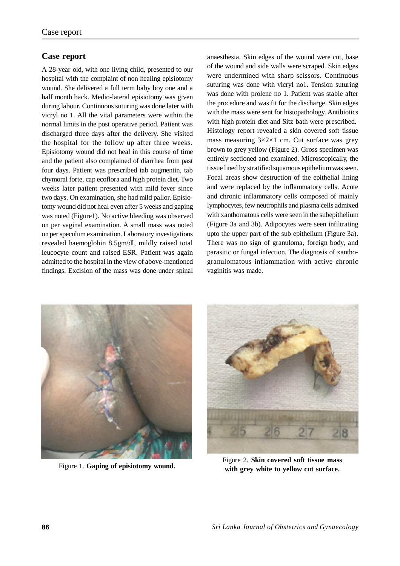## **Case report**

A 28-year old, with one living child, presented to our hospital with the complaint of non healing episiotomy wound. She delivered a full term baby boy one and a half month back. Medio-lateral episiotomy was given during labour. Continuous suturing was done later with vicryl no 1. All the vital parameters were within the normal limits in the post operative period. Patient was discharged three days after the delivery. She visited the hospital for the follow up after three weeks. Episiotomy wound did not heal in this course of time and the patient also complained of diarrhea from past four days. Patient was prescribed tab augmentin, tab chymoral forte, cap ecoflora and high protein diet. Two weeks later patient presented with mild fever since two days. On examination, she had mild pallor. Episiotomy wound did not heal even after 5 weeks and gaping was noted (Figure1). No active bleeding was observed on per vaginal examination. A small mass was noted on per speculum examination. Laboratory investigations revealed haemoglobin 8.5gm/dl, mildly raised total leucocyte count and raised ESR. Patient was again admitted to the hospital in the view of above-mentioned findings. Excision of the mass was done under spinal anaesthesia. Skin edges of the wound were cut, base of the wound and side walls were scraped. Skin edges were undermined with sharp scissors. Continuous suturing was done with vicryl no1. Tension suturing was done with prolene no 1. Patient was stable after the procedure and was fit for the discharge. Skin edges with the mass were sent for histopathology. Antibiotics with high protein diet and Sitz bath were prescribed. Histology report revealed a skin covered soft tissue mass measuring  $3 \times 2 \times 1$  cm. Cut surface was grey brown to grey yellow (Figure 2). Gross specimen was entirely sectioned and examined. Microscopically, the tissue lined by stratified squamous epithelium was seen. Focal areas show destruction of the epithelial lining and were replaced by the inflammatory cells. Acute and chronic inflammatory cells composed of mainly lymphocytes, few neutrophils and plasma cells admixed with xanthomatous cells were seen in the subepithelium (Figure 3a and 3b). Adipocytes were seen infiltrating upto the upper part of the sub epithelium (Figure 3a). There was no sign of granuloma, foreign body, and parasitic or fungal infection. The diagnosis of xanthogranulomatous inflammation with active chronic vaginitis was made.





Figure 2. **Skin covered soft tissue mass** Figure 1. Gaping of episiotomy wound. With grey white to yellow cut surface.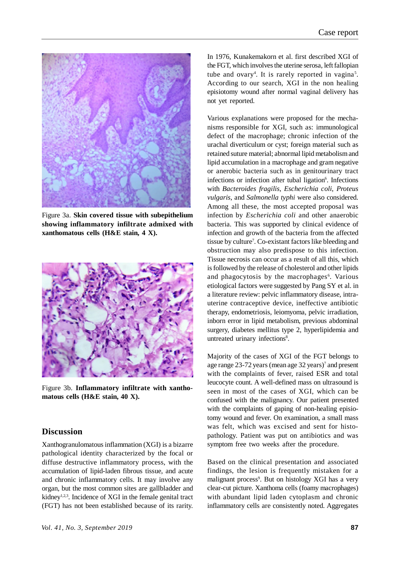

Figure 3a. **Skin covered tissue with subepithelium showing inflammatory infiltrate admixed with xanthomatous cells (H&E stain, 4 X).**



Figure 3b. **Inflammatory infiltrate with xanthomatous cells (H&E stain, 40 X).**

## **Discussion**

Xanthogranulomatous inflammation (XGI) is a bizarre pathological identity characterized by the focal or diffuse destructive inflammatory process, with the accumulation of lipid-laden fibrous tissue, and acute and chronic inflammatory cells. It may involve any organ, but the most common sites are gallbladder and kidney<sup>1,2,3</sup>. Incidence of XGI in the female genital tract (FGT) has not been established because of its rarity.

In 1976, Kunakemakorn et al. first described XGI of the FGT, which involves the uterine serosa, left fallopian tube and ovary<sup>4</sup>. It is rarely reported in vagina<sup>5</sup>. According to our search, XGI in the non healing episiotomy wound after normal vaginal delivery has not yet reported.

Various explanations were proposed for the mechanisms responsible for XGI, such as: immunological defect of the macrophage; chronic infection of the urachal diverticulum or cyst; foreign material such as retained suture material; abnormal lipid metabolism and lipid accumulation in a macrophage and gram negative or anerobic bacteria such as in genitourinary tract infections or infection after tubal ligation<sup>6</sup>. Infections with *Bacteroides fragilis*, *Escherichia coli*, *Proteus vulgaris*, and *Salmonella typhi* were also considered. Among all these, the most accepted proposal was infection by *Escherichia coli* and other anaerobic bacteria. This was supported by clinical evidence of infection and growth of the bacteria from the affected tissue by culture<sup>7</sup>. Co-existant factors like bleeding and obstruction may also predispose to this infection. Tissue necrosis can occur as a result of all this, which is followed by the release of cholesterol and other lipids and phagocytosis by the macrophages<sup>6</sup>. Various etiological factors were suggested by Pang SY et al. in a literature review: pelvic inflammatory disease, intrauterine contraceptive device, ineffective antibiotic therapy, endometriosis, leiomyoma, pelvic irradiation, inborn error in lipid metabolism, previous abdominal surgery, diabetes mellitus type 2, hyperlipidemia and untreated urinary infections<sup>8</sup>.

Majority of the cases of XGI of the FGT belongs to age range 23-72 years (mean age 32 years)<sup>7</sup> and present with the complaints of fever, raised ESR and total leucocyte count. A well-defined mass on ultrasound is seen in most of the cases of XGI, which can be confused with the malignancy. Our patient presented with the complaints of gaping of non-healing episiotomy wound and fever. On examination, a small mass was felt, which was excised and sent for histopathology. Patient was put on antibiotics and was symptom free two weeks after the procedure.

Based on the clinical presentation and associated findings, the lesion is frequently mistaken for a malignant process<sup>9</sup>. But on histology XGI has a very clear-cut picture. Xanthoma cells (foamy macrophages) with abundant lipid laden cytoplasm and chronic inflammatory cells are consistently noted. Aggregates